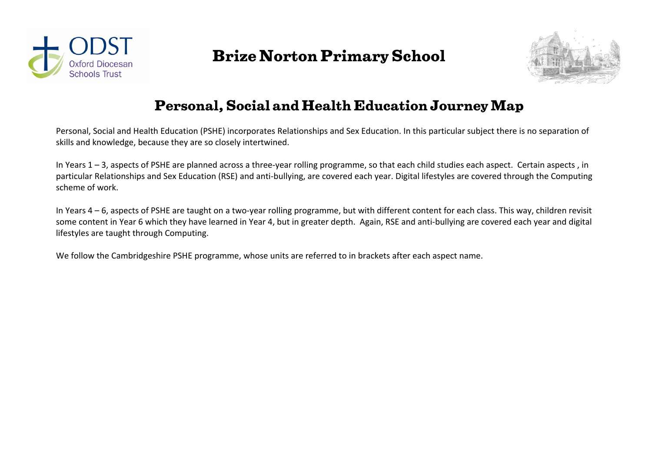

## **Brize Norton Primary School**



## **Personal, Social and Health Education Journey Map**

Personal, Social and Health Education (PSHE) incorporates Relationships and Sex Education. In this particular subject there is no separation of skills and knowledge, because they are so closely intertwined.

In Years 1 – 3, aspects of PSHE are planned across a three-year rolling programme, so that each child studies each aspect. Certain aspects , in particular Relationships and Sex Education (RSE) and anti-bullying, are covered each year. Digital lifestyles are covered through the Computing scheme of work.

In Years 4 – 6, aspects of PSHE are taught on a two-year rolling programme, but with different content for each class. This way, children revisit some content in Year 6 which they have learned in Year 4, but in greater depth. Again, RSE and anti-bullying are covered each year and digital lifestyles are taught through Computing.

We follow the Cambridgeshire PSHE programme, whose units are referred to in brackets after each aspect name.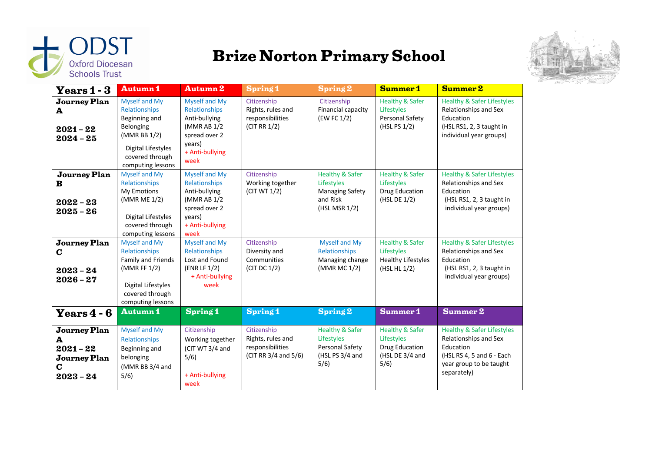

## **Brize Norton Primary School**



| $\mathbf{Y}\mathbf{e}\mathbf{a}\mathbf{r}\mathbf{s}\mathbf{1}\mathbf{-3}$   | <b>Autumn1</b>                                                                                                                             | <b>Autumn 2</b>                                                                                                             | <b>Spring 1</b>                                                              | <b>Spring 2</b>                                                                                 | <b>Summer1</b>                                                                        | Summer 2                                                                                                                                           |
|-----------------------------------------------------------------------------|--------------------------------------------------------------------------------------------------------------------------------------------|-----------------------------------------------------------------------------------------------------------------------------|------------------------------------------------------------------------------|-------------------------------------------------------------------------------------------------|---------------------------------------------------------------------------------------|----------------------------------------------------------------------------------------------------------------------------------------------------|
| <b>Journey Plan</b><br>A<br>$2021 - 22$<br>$2024 - 25$                      | Myself and My<br>Relationships<br>Beginning and<br>Belonging<br>(MMR BB 1/2)<br>Digital Lifestyles<br>covered through<br>computing lessons | <b>Myself and My</b><br>Relationships<br>Anti-bullying<br>(MMR AB 1/2<br>spread over 2<br>years)<br>+ Anti-bullying<br>week | Citizenship<br>Rights, rules and<br>responsibilities<br>(CITRR 1/2)          | Citizenship<br>Financial capacity<br>(EW FC 1/2)                                                | <b>Healthy &amp; Safer</b><br>Lifestyles<br>Personal Safety<br>(HSL PS 1/2)           | <b>Healthy &amp; Safer Lifestyles</b><br>Relationships and Sex<br>Education<br>(HSL RS1, 2, 3 taught in<br>individual year groups)                 |
| <b>Journey Plan</b><br>B<br>$2022 - 23$<br>$2025 - 26$                      | Myself and My<br>Relationships<br>My Emotions<br>(MMR ME 1/2)<br>Digital Lifestyles<br>covered through<br>computing lessons                | <b>Myself and My</b><br>Relationships<br>Anti-bullying<br>(MMR AB 1/2<br>spread over 2<br>years)<br>+ Anti-bullying<br>week | Citizenship<br>Working together<br>(CIT WT 1/2)                              | <b>Healthy &amp; Safer</b><br>Lifestyles<br><b>Managing Safety</b><br>and Risk<br>(HSL MSR 1/2) | <b>Healthy &amp; Safer</b><br>Lifestyles<br>Drug Education<br>(HSL DE 1/2)            | <b>Healthy &amp; Safer Lifestyles</b><br>Relationships and Sex<br>Education<br>(HSL RS1, 2, 3 taught in<br>individual year groups)                 |
| <b>Journey Plan</b><br>C<br>$2023 - 24$<br>$2026 - 27$                      | Myself and My<br>Relationships<br>Family and Friends<br>(MMR FF 1/2)<br>Digital Lifestyles<br>covered through<br>computing lessons         | <b>Myself and My</b><br>Relationships<br>Lost and Found<br>(ENR LF 1/2)<br>+ Anti-bullying<br>week                          | Citizenship<br>Diversity and<br>Communities<br>(CITDC 1/2)                   | Myself and My<br>Relationships<br>Managing change<br>(MMR MC 1/2)                               | <b>Healthy &amp; Safer</b><br>Lifestyles<br><b>Healthy Lifestyles</b><br>(HSL HL 1/2) | <b>Healthy &amp; Safer Lifestyles</b><br>Relationships and Sex<br>Education<br>(HSL RS1, 2, 3 taught in<br>individual year groups)                 |
| Years $4 - 6$                                                               | <b>Autumn1</b>                                                                                                                             | <b>Spring 1</b>                                                                                                             | <b>Spring 1</b>                                                              | <b>Spring 2</b>                                                                                 | Summer 1                                                                              | Summer 2                                                                                                                                           |
| <b>Journey Plan</b><br>A<br>$2021 - 22$<br>Journey Plan<br>C<br>$2023 - 24$ | Myself and My<br>Relationships<br>Beginning and<br>belonging<br>(MMR BB 3/4 and<br>5/6)                                                    | Citizenship<br>Working together<br>(CIT WT 3/4 and<br>5/6)<br>+ Anti-bullying<br>week                                       | Citizenship<br>Rights, rules and<br>responsibilities<br>(CIT RR 3/4 and 5/6) | <b>Healthy &amp; Safer</b><br>Lifestyles<br>Personal Safety<br>(HSL PS 3/4 and<br>5/6)          | <b>Healthy &amp; Safer</b><br>Lifestyles<br>Drug Education<br>(HSL DE 3/4 and<br>5/6) | <b>Healthy &amp; Safer Lifestyles</b><br>Relationships and Sex<br>Education<br>(HSL RS 4, 5 and 6 - Each<br>year group to be taught<br>separately) |